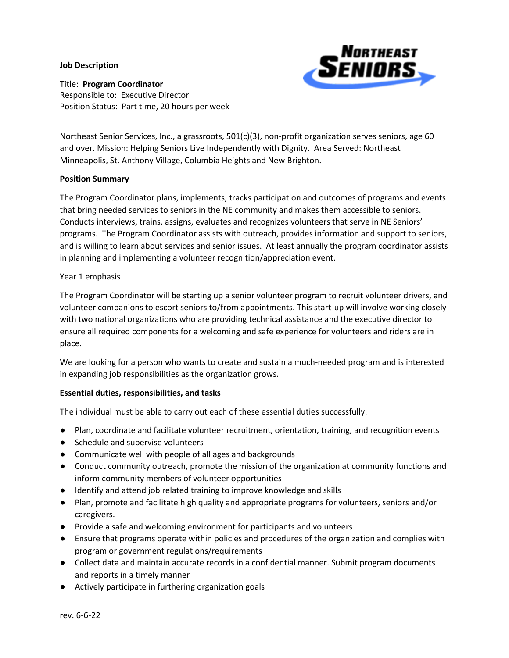### **Job Description**



Title: **Program Coordinator** Responsible to: Executive Director Position Status: Part time, 20 hours per week

Northeast Senior Services, Inc., a grassroots, 501(c)(3), non-profit organization serves seniors, age 60 and over. Mission: Helping Seniors Live Independently with Dignity. Area Served: Northeast Minneapolis, St. Anthony Village, Columbia Heights and New Brighton.

## **Position Summary**

The Program Coordinator plans, implements, tracks participation and outcomes of programs and events that bring needed services to seniors in the NE community and makes them accessible to seniors. Conducts interviews, trains, assigns, evaluates and recognizes volunteers that serve in NE Seniors' programs. The Program Coordinator assists with outreach, provides information and support to seniors, and is willing to learn about services and senior issues. At least annually the program coordinator assists in planning and implementing a volunteer recognition/appreciation event.

## Year 1 emphasis

The Program Coordinator will be starting up a senior volunteer program to recruit volunteer drivers, and volunteer companions to escort seniors to/from appointments. This start-up will involve working closely with two national organizations who are providing technical assistance and the executive director to ensure all required components for a welcoming and safe experience for volunteers and riders are in place.

We are looking for a person who wants to create and sustain a much-needed program and is interested in expanding job responsibilities as the organization grows.

# **Essential duties, responsibilities, and tasks**

The individual must be able to carry out each of these essential duties successfully.

- Plan, coordinate and facilitate volunteer recruitment, orientation, training, and recognition events
- Schedule and supervise volunteers
- Communicate well with people of all ages and backgrounds
- Conduct community outreach, promote the mission of the organization at community functions and inform community members of volunteer opportunities
- Identify and attend job related training to improve knowledge and skills
- Plan, promote and facilitate high quality and appropriate programs for volunteers, seniors and/or caregivers.
- Provide a safe and welcoming environment for participants and volunteers
- Ensure that programs operate within policies and procedures of the organization and complies with program or government regulations/requirements
- Collect data and maintain accurate records in a confidential manner. Submit program documents and reports in a timely manner
- Actively participate in furthering organization goals